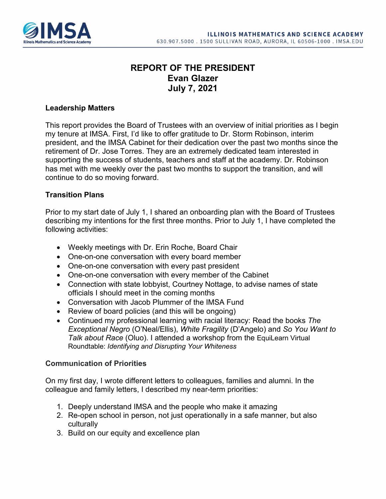

# **REPORT OF THE PRESIDENT Evan Glazer July 7, 2021**

#### **Leadership Matters**

This report provides the Board of Trustees with an overview of initial priorities as I begin my tenure at IMSA. First, I'd like to offer gratitude to Dr. Storm Robinson, interim president, and the IMSA Cabinet for their dedication over the past two months since the retirement of Dr. Jose Torres. They are an extremely dedicated team interested in supporting the success of students, teachers and staff at the academy. Dr. Robinson has met with me weekly over the past two months to support the transition, and will continue to do so moving forward.

#### **Transition Plans**

Prior to my start date of July 1, I shared an onboarding plan with the Board of Trustees describing my intentions for the first three months. Prior to July 1, I have completed the following activities:

- Weekly meetings with Dr. Erin Roche, Board Chair
- One-on-one conversation with every board member
- One-on-one conversation with every past president
- One-on-one conversation with every member of the Cabinet
- Connection with state lobbyist, Courtney Nottage, to advise names of state officials I should meet in the coming months
- Conversation with Jacob Plummer of the IMSA Fund
- Review of board policies (and this will be ongoing)
- Continued my professional learning with racial literacy: Read the books *The Exceptional Negro* (O'Neal/Ellis), *White Fragility* (D'Angelo) and *So You Want to Talk about Race* (Oluo). I attended a workshop from the EquiLearn Virtual Roundtable: *Identifying and Disrupting Your Whiteness*

### **Communication of Priorities**

On my first day, I wrote different letters to colleagues, families and alumni. In the colleague and family letters, I described my near-term priorities:

- 1. Deeply understand IMSA and the people who make it amazing
- 2. Re-open school in person, not just operationally in a safe manner, but also culturally
- 3. Build on our equity and excellence plan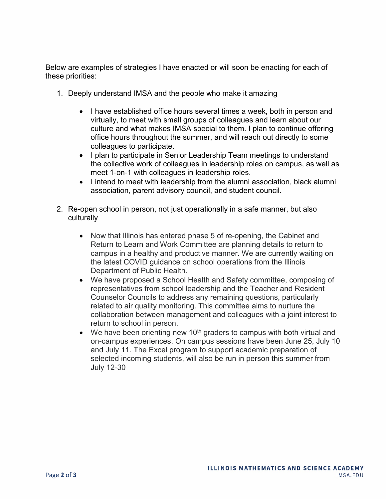Below are examples of strategies I have enacted or will soon be enacting for each of these priorities:

- 1. Deeply understand IMSA and the people who make it amazing
	- I have established office hours several times a week, both in person and virtually, to meet with small groups of colleagues and learn about our culture and what makes IMSA special to them. I plan to continue offering office hours throughout the summer, and will reach out directly to some colleagues to participate.
	- I plan to participate in Senior Leadership Team meetings to understand the collective work of colleagues in leadership roles on campus, as well as meet 1-on-1 with colleagues in leadership roles.
	- I intend to meet with leadership from the alumni association, black alumni association, parent advisory council, and student council.
- 2. Re-open school in person, not just operationally in a safe manner, but also culturally
	- Now that Illinois has entered phase 5 of re-opening, the Cabinet and Return to Learn and Work Committee are planning details to return to campus in a healthy and productive manner. We are currently waiting on the latest COVID guidance on school operations from the Illinois Department of Public Health.
	- We have proposed a School Health and Safety committee, composing of representatives from school leadership and the Teacher and Resident Counselor Councils to address any remaining questions, particularly related to air quality monitoring. This committee aims to nurture the collaboration between management and colleagues with a joint interest to return to school in person.
	- We have been orienting new 10<sup>th</sup> graders to campus with both virtual and on-campus experiences. On campus sessions have been June 25, July 10 and July 11. The Excel program to support academic preparation of selected incoming students, will also be run in person this summer from July 12-30